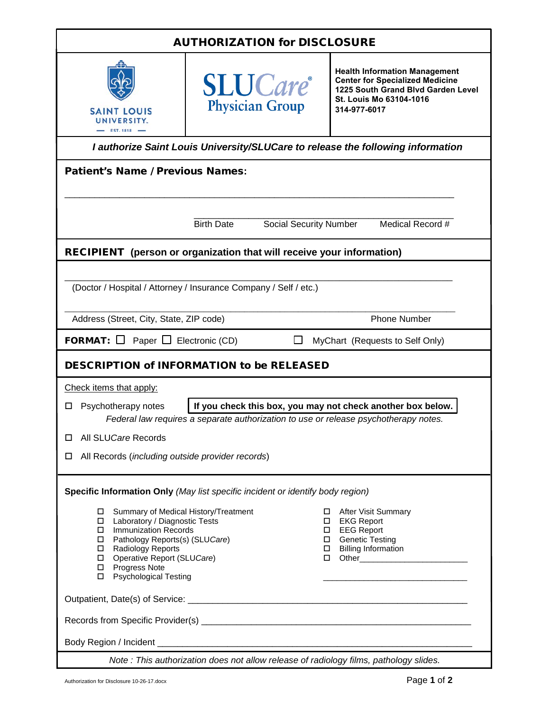| <b>AUTHORIZATION for DISCLOSURE</b>                                                                                                                                                                                                                                                   |                                                                                       |                                                                                                                                                                                                                                                                                                                                                                                                |  |  |
|---------------------------------------------------------------------------------------------------------------------------------------------------------------------------------------------------------------------------------------------------------------------------------------|---------------------------------------------------------------------------------------|------------------------------------------------------------------------------------------------------------------------------------------------------------------------------------------------------------------------------------------------------------------------------------------------------------------------------------------------------------------------------------------------|--|--|
| <b>SAINT LOUIS</b><br>UNIVERSITY.<br>$EST. 1818$ -                                                                                                                                                                                                                                    | <b>SLUCare</b> <sup>®</sup><br><b>Physician Group</b>                                 | <b>Health Information Management</b><br><b>Center for Specialized Medicine</b><br>1225 South Grand Blvd Garden Level<br>St. Louis Mo 63104-1016<br>314-977-6017                                                                                                                                                                                                                                |  |  |
|                                                                                                                                                                                                                                                                                       |                                                                                       | I authorize Saint Louis University/SLUCare to release the following information                                                                                                                                                                                                                                                                                                                |  |  |
| <b>Patient's Name / Previous Names:</b>                                                                                                                                                                                                                                               |                                                                                       |                                                                                                                                                                                                                                                                                                                                                                                                |  |  |
|                                                                                                                                                                                                                                                                                       |                                                                                       |                                                                                                                                                                                                                                                                                                                                                                                                |  |  |
|                                                                                                                                                                                                                                                                                       | <b>Birth Date</b><br><b>Social Security Number</b>                                    | Medical Record #                                                                                                                                                                                                                                                                                                                                                                               |  |  |
|                                                                                                                                                                                                                                                                                       | <b>RECIPIENT</b> (person or organization that will receive your information)          |                                                                                                                                                                                                                                                                                                                                                                                                |  |  |
|                                                                                                                                                                                                                                                                                       | (Doctor / Hospital / Attorney / Insurance Company / Self / etc.)                      |                                                                                                                                                                                                                                                                                                                                                                                                |  |  |
| Address (Street, City, State, ZIP code)                                                                                                                                                                                                                                               |                                                                                       | <b>Phone Number</b>                                                                                                                                                                                                                                                                                                                                                                            |  |  |
| <b>FORMAT:</b> $\Box$ Paper $\Box$ Electronic (CD)                                                                                                                                                                                                                                    |                                                                                       | MyChart (Requests to Self Only)                                                                                                                                                                                                                                                                                                                                                                |  |  |
|                                                                                                                                                                                                                                                                                       | <b>DESCRIPTION of INFORMATION to be RELEASED</b>                                      |                                                                                                                                                                                                                                                                                                                                                                                                |  |  |
| Check items that apply:                                                                                                                                                                                                                                                               |                                                                                       |                                                                                                                                                                                                                                                                                                                                                                                                |  |  |
| Psychotherapy notes<br>□                                                                                                                                                                                                                                                              | Federal law requires a separate authorization to use or release psychotherapy notes.  | If you check this box, you may not check another box below.                                                                                                                                                                                                                                                                                                                                    |  |  |
| All SLUCare Records<br>□                                                                                                                                                                                                                                                              |                                                                                       |                                                                                                                                                                                                                                                                                                                                                                                                |  |  |
| All Records (including outside provider records)<br>□                                                                                                                                                                                                                                 |                                                                                       |                                                                                                                                                                                                                                                                                                                                                                                                |  |  |
|                                                                                                                                                                                                                                                                                       | Specific Information Only (May list specific incident or identify body region)        |                                                                                                                                                                                                                                                                                                                                                                                                |  |  |
| Summary of Medical History/Treatment<br>0<br>Laboratory / Diagnostic Tests<br>0<br><b>Immunization Records</b><br>Pathology Reports(s) (SLUCare)<br>$\Box$<br>Radiology Reports<br>$\Box$<br>Operative Report (SLUCare)<br>$\Box$<br>Progress Note<br>$\Box$<br>Psychological Testing |                                                                                       | <b>After Visit Summary</b><br>0<br>□ EKG Report<br>□ EEG Report<br>□ Genetic Testing<br>□ Billing Information<br>□ Other______________________________<br><u> 1989 - Johann John Harry Harry Harry Harry Harry Harry Harry Harry Harry Harry Harry Harry Harry Harry Harry Harry Harry Harry Harry Harry Harry Harry Harry Harry Harry Harry Harry Harry Harry Harry Harry Harry Harry Har</u> |  |  |
|                                                                                                                                                                                                                                                                                       |                                                                                       |                                                                                                                                                                                                                                                                                                                                                                                                |  |  |
|                                                                                                                                                                                                                                                                                       |                                                                                       |                                                                                                                                                                                                                                                                                                                                                                                                |  |  |
|                                                                                                                                                                                                                                                                                       |                                                                                       |                                                                                                                                                                                                                                                                                                                                                                                                |  |  |
|                                                                                                                                                                                                                                                                                       | Note: This authorization does not allow release of radiology films, pathology slides. |                                                                                                                                                                                                                                                                                                                                                                                                |  |  |